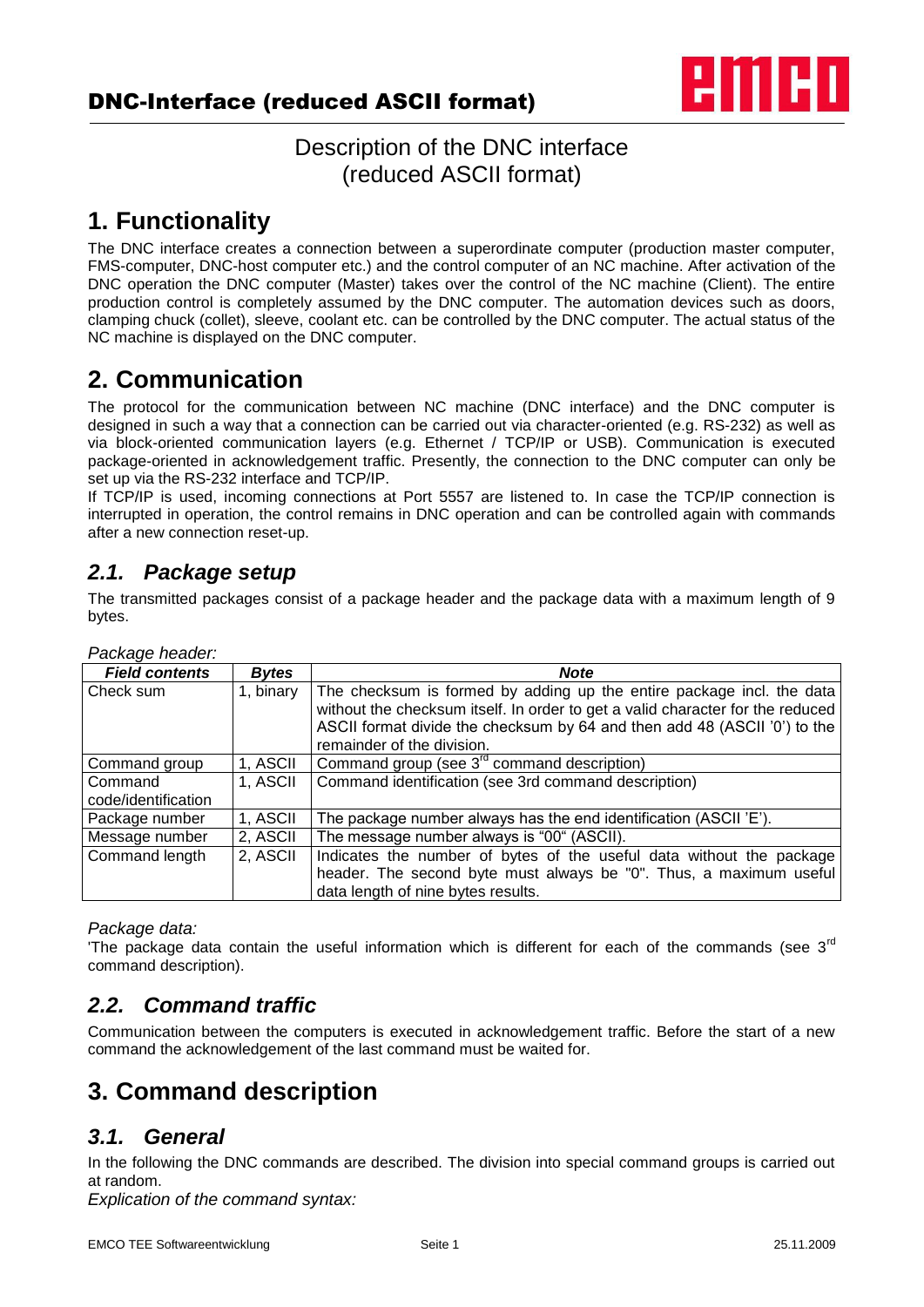

# Description of the DNC interface (reduced ASCII format)

# **1. Functionality**

The DNC interface creates a connection between a superordinate computer (production master computer, FMS-computer, DNC-host computer etc.) and the control computer of an NC machine. After activation of the DNC operation the DNC computer (Master) takes over the control of the NC machine (Client). The entire production control is completely assumed by the DNC computer. The automation devices such as doors, clamping chuck (collet), sleeve, coolant etc. can be controlled by the DNC computer. The actual status of the NC machine is displayed on the DNC computer.

# **2. Communication**

The protocol for the communication between NC machine (DNC interface) and the DNC computer is designed in such a way that a connection can be carried out via character-oriented (e.g. RS-232) as well as via block-oriented communication layers (e.g. Ethernet / TCP/IP or USB). Communication is executed package-oriented in acknowledgement traffic. Presently, the connection to the DNC computer can only be set up via the RS-232 interface and TCP/IP.

If TCP/IP is used, incoming connections at Port 5557 are listened to. In case the TCP/IP connection is interrupted in operation, the control remains in DNC operation and can be controlled again with commands after a new connection reset-up.

### *2.1. Package setup*

The transmitted packages consist of a package header and the package data with a maximum length of 9 bytes.

| Package Headel.                |              |                                                                                                                                                                                                                                                                    |
|--------------------------------|--------------|--------------------------------------------------------------------------------------------------------------------------------------------------------------------------------------------------------------------------------------------------------------------|
| <b>Field contents</b>          | <b>Bytes</b> | <b>Note</b>                                                                                                                                                                                                                                                        |
| Check sum                      | 1, binary    | The checksum is formed by adding up the entire package incl. the data<br>without the checksum itself. In order to get a valid character for the reduced<br>ASCII format divide the checksum by 64 and then add 48 (ASCII '0') to the<br>remainder of the division. |
| Command group                  | 1, ASCII     | Command group (see 3 <sup>rd</sup> command description)                                                                                                                                                                                                            |
| Command<br>code/identification | 1, ASCII     | Command identification (see 3rd command description)                                                                                                                                                                                                               |
| Package number                 | 1, ASCII     | The package number always has the end identification (ASCII 'E').                                                                                                                                                                                                  |
| Message number                 | 2, ASCII     | The message number always is "00" (ASCII).                                                                                                                                                                                                                         |
| Command length                 | 2, ASCII     | Indicates the number of bytes of the useful data without the package<br>header. The second byte must always be "0". Thus, a maximum useful<br>data length of nine bytes results.                                                                                   |

*Package header:*

#### *Package data:*

'The package data contain the useful information which is different for each of the commands (see  $3<sup>rd</sup>$ command description).

## *2.2. Command traffic*

Communication between the computers is executed in acknowledgement traffic. Before the start of a new command the acknowledgement of the last command must be waited for.

# **3. Command description**

## *3.1. General*

In the following the DNC commands are described. The division into special command groups is carried out at random.

*Explication of the command syntax:*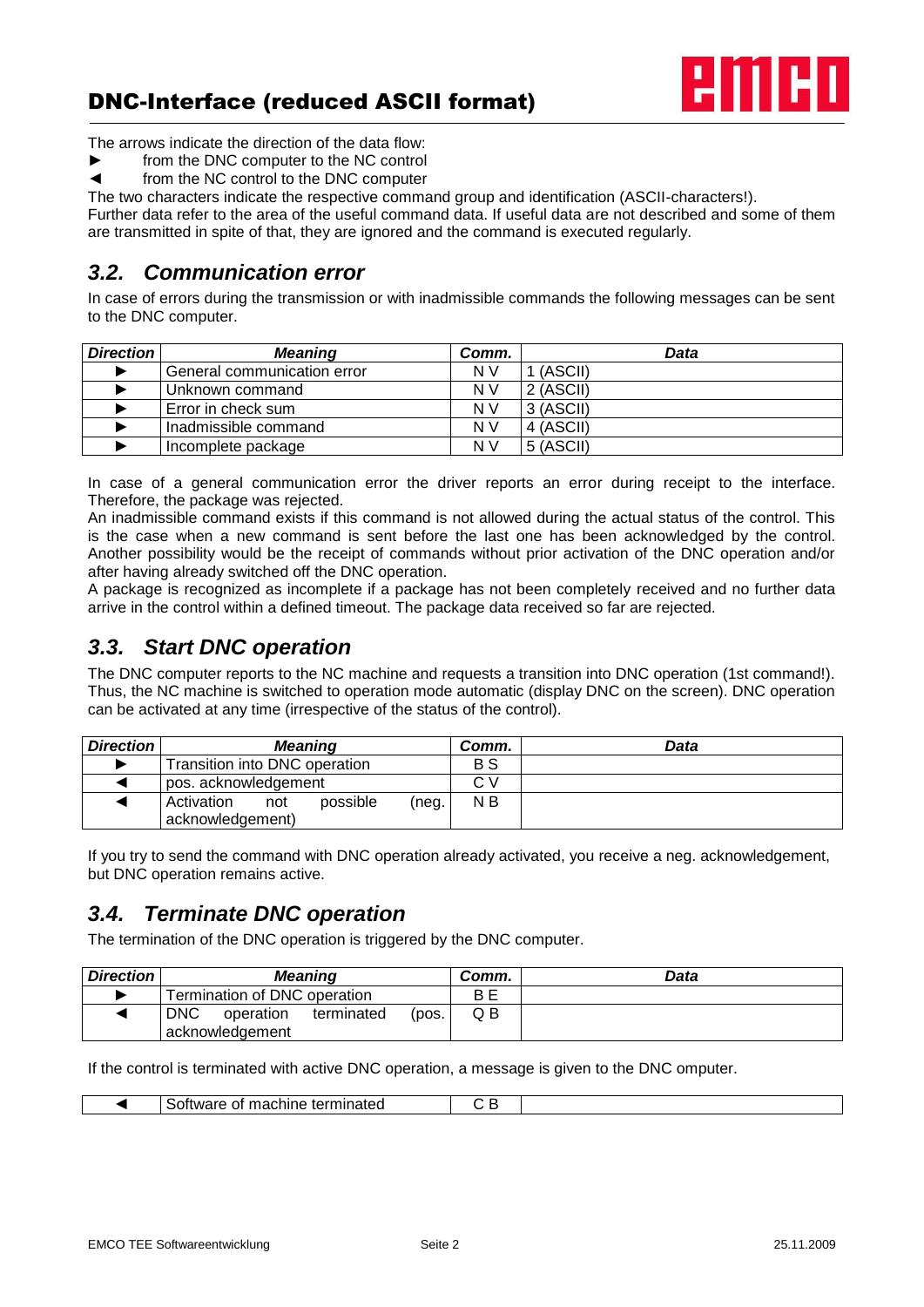# DNC-Interface (reduced ASCII format)



The arrows indicate the direction of the data flow:

- ► from the DNC computer to the NC control<br>■ from the NC control to the DNC computer
- from the NC control to the DNC computer

The two characters indicate the respective command group and identification (ASCII-characters!).

Further data refer to the area of the useful command data. If useful data are not described and some of them are transmitted in spite of that, they are ignored and the command is executed regularly.

### *3.2. Communication error*

In case of errors during the transmission or with inadmissible commands the following messages can be sent to the DNC computer.

| <b>Direction</b> | <b>Meaning</b>              | Comm. | Data      |
|------------------|-----------------------------|-------|-----------|
|                  | General communication error | N V   | 1 (ASCII) |
|                  | Unknown command             | N V   | 2 (ASCII) |
|                  | Error in check sum          | N V   | 3 (ASCII) |
|                  | Inadmissible command        | N V   | 4 (ASCII) |
|                  | Incomplete package          | N V   | 5 (ASCII) |

In case of a general communication error the driver reports an error during receipt to the interface. Therefore, the package was rejected.

An inadmissible command exists if this command is not allowed during the actual status of the control. This is the case when a new command is sent before the last one has been acknowledged by the control. Another possibility would be the receipt of commands without prior activation of the DNC operation and/or after having already switched off the DNC operation.

A package is recognized as incomplete if a package has not been completely received and no further data arrive in the control within a defined timeout. The package data received so far are rejected.

### *3.3. Start DNC operation*

The DNC computer reports to the NC machine and requests a transition into DNC operation (1st command!). Thus, the NC machine is switched to operation mode automatic (display DNC on the screen). DNC operation can be activated at any time (irrespective of the status of the control).

| <b>Direction</b> | <b>Meaning</b>                |       | Comm. | Data |
|------------------|-------------------------------|-------|-------|------|
|                  | Transition into DNC operation |       | B S   |      |
|                  | pos. acknowledgement          |       | СV    |      |
|                  | possible<br>Activation<br>not | (neg. | N B   |      |
|                  | acknowledgement)              |       |       |      |

If you try to send the command with DNC operation already activated, you receive a neg. acknowledgement, but DNC operation remains active.

## *3.4. Terminate DNC operation*

The termination of the DNC operation is triggered by the DNC computer.

| <b>Direction</b> | <b>Meaning</b>                                 | Comm. | Data |
|------------------|------------------------------------------------|-------|------|
|                  | Termination of DNC operation                   | B E   |      |
|                  | <b>DNC</b><br>operation<br>terminated<br>(pos. | QВ    |      |
|                  | acknowledgement                                |       |      |

If the control is terminated with active DNC operation, a message is given to the DNC omputer.

|  | terminated<br>machine <sup>-</sup><br>ΩT<br>NM: |  |
|--|-------------------------------------------------|--|
|  |                                                 |  |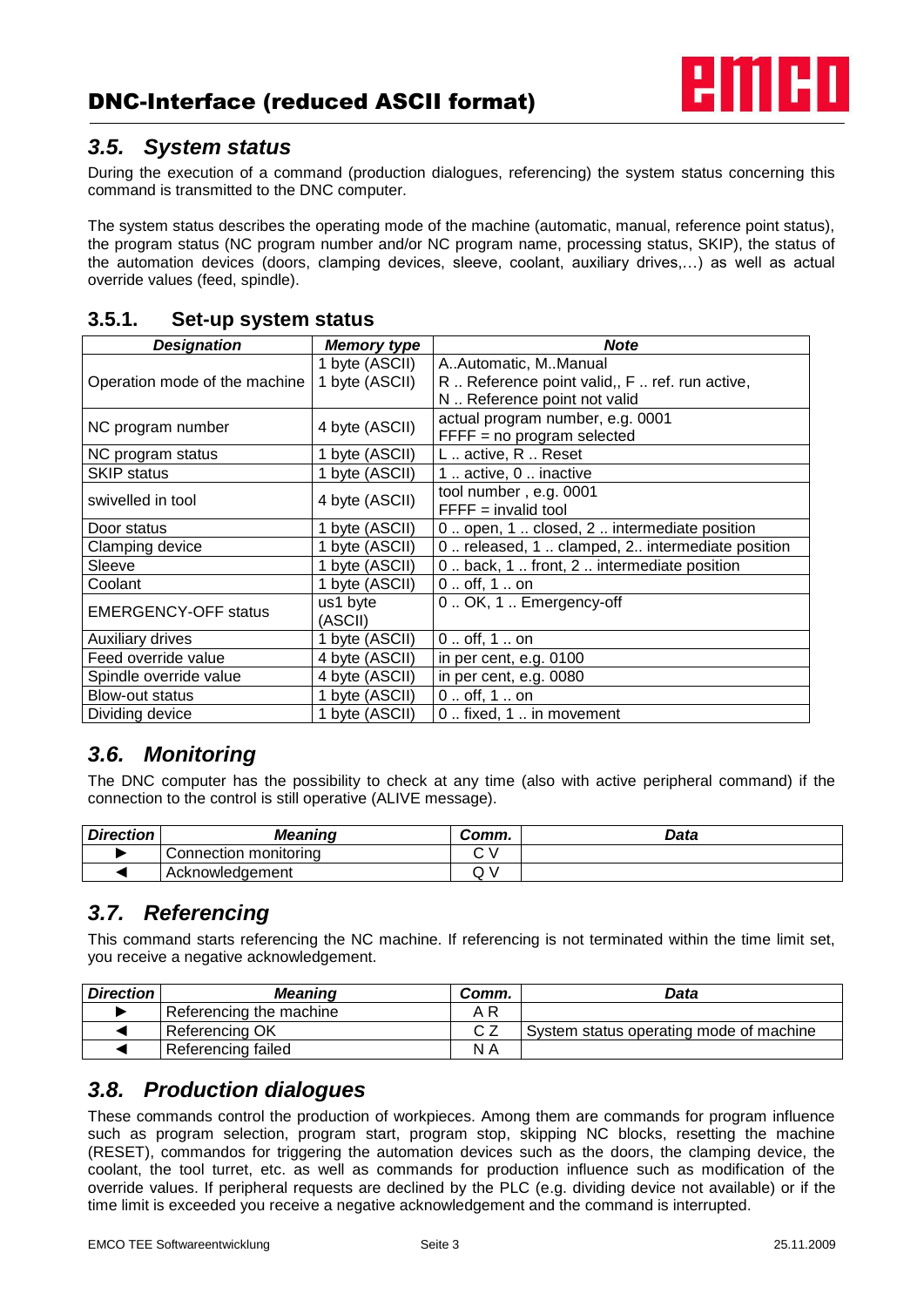

#### *3.5. System status*

During the execution of a command (production dialogues, referencing) the system status concerning this command is transmitted to the DNC computer.

The system status describes the operating mode of the machine (automatic, manual, reference point status), the program status (NC program number and/or NC program name, processing status, SKIP), the status of the automation devices (doors, clamping devices, sleeve, coolant, auxiliary drives,…) as well as actual override values (feed, spindle).

| <b>Designation</b>            | <b>Memory type</b> | <b>Note</b>                                       |
|-------------------------------|--------------------|---------------------------------------------------|
|                               | 1 byte (ASCII)     | A. Automatic, M. Manual                           |
| Operation mode of the machine | 1 byte (ASCII)     | R  Reference point valid,, F  ref. run active,    |
|                               |                    | N  Reference point not valid                      |
| NC program number             | 4 byte (ASCII)     | actual program number, e.g. 0001                  |
|                               |                    | $FFFF = no program selected$                      |
| NC program status             | 1 byte (ASCII)     | L active, R Reset                                 |
| <b>SKIP status</b>            | 1 byte (ASCII)     | 1  active, 0  inactive                            |
| swivelled in tool             | 4 byte (ASCII)     | tool number, e.g. 0001                            |
|                               |                    | $FFFF = invalid tool$                             |
| Door status                   | 1 byte (ASCII)     | 0. open, 1. closed, 2. intermediate position      |
| Clamping device               | 1 byte (ASCII)     | 0. released, 1. clamped, 2. intermediate position |
| Sleeve                        | 1 byte (ASCII)     | 0. back, 1. front, 2. intermediate position       |
| Coolant                       | 1 byte (ASCII)     | $0.$ . off, 1 on                                  |
| <b>EMERGENCY-OFF status</b>   | us1 byte           | 0. OK, 1. Emergency-off                           |
|                               | (ASCII)            |                                                   |
| <b>Auxiliary drives</b>       | 1 byte (ASCII)     | $0.$ . off, 1 on                                  |
| Feed override value           | 4 byte (ASCII)     | in per cent, e.g. 0100                            |
| Spindle override value        | 4 byte (ASCII)     | in per cent, e.g. 0080                            |
| Blow-out status               | 1 byte (ASCII)     | $0.$ . off, 1 on                                  |
| Dividing device               | 1 byte (ASCII)     | 0. fixed, 1. in movement                          |

#### **3.5.1. Set-up system status**

# *3.6. Monitoring*

The DNC computer has the possibility to check at any time (also with active peripheral command) if the connection to the control is still operative (ALIVE message).

| <b>Direction</b> | <b>Meaning</b>        | Comm. | Data |
|------------------|-----------------------|-------|------|
|                  | Connection monitoring |       |      |
|                  | Acknowledgement       | u     |      |

## *3.7. Referencing*

This command starts referencing the NC machine. If referencing is not terminated within the time limit set, you receive a negative acknowledgement.

| <b>Direction</b> | <b>Meaning</b>          | Comm.    | Data                                    |
|------------------|-------------------------|----------|-----------------------------------------|
|                  | Referencing the machine | A R      |                                         |
|                  | Referencing OK          | $\sim$ 7 | System status operating mode of machine |
|                  | Referencing failed      | N A      |                                         |

### *3.8. Production dialogues*

These commands control the production of workpieces. Among them are commands for program influence such as program selection, program start, program stop, skipping NC blocks, resetting the machine (RESET), commandos for triggering the automation devices such as the doors, the clamping device, the coolant, the tool turret, etc. as well as commands for production influence such as modification of the override values. If peripheral requests are declined by the PLC (e.g. dividing device not available) or if the time limit is exceeded you receive a negative acknowledgement and the command is interrupted.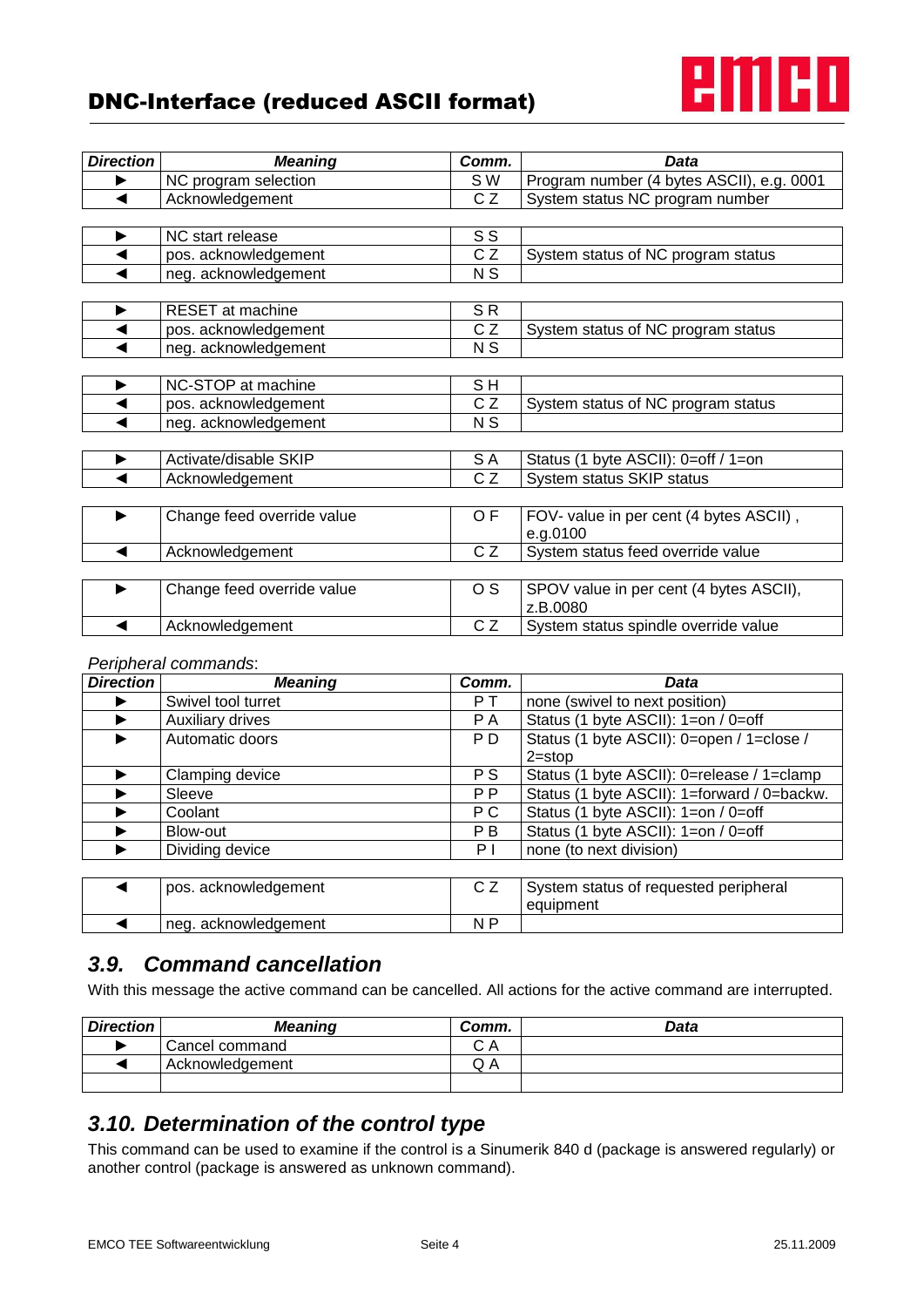# DNC-Interface (reduced ASCII format)



| <b>Direction</b> | <b>Meaning</b>             | Comm.          | <b>Data</b>                               |
|------------------|----------------------------|----------------|-------------------------------------------|
|                  | NC program selection       | S W            | Program number (4 bytes ASCII), e.g. 0001 |
| ◀                | Acknowledgement            | CZ             | System status NC program number           |
|                  |                            |                |                                           |
| ▶                | NC start release           | S S            |                                           |
|                  | pos. acknowledgement       | CZ             | System status of NC program status        |
|                  | neg. acknowledgement       | N <sub>S</sub> |                                           |
|                  |                            |                |                                           |
|                  | <b>RESET</b> at machine    | SR             |                                           |
| ◀                | pos. acknowledgement       | CZ             | System status of NC program status        |
|                  | neg. acknowledgement       | N <sub>S</sub> |                                           |
|                  |                            |                |                                           |
| ▶                | NC-STOP at machine         | SH             |                                           |
|                  | pos. acknowledgement       | CZ             | System status of NC program status        |
|                  | neg. acknowledgement       | N <sub>S</sub> |                                           |
|                  |                            |                |                                           |
|                  | Activate/disable SKIP      | S A            | Status (1 byte ASCII): 0=off / 1=on       |
|                  | Acknowledgement            | CZ             | System status SKIP status                 |
|                  |                            |                |                                           |
| ▶                | Change feed override value | OF             | FOV- value in per cent (4 bytes ASCII),   |
|                  |                            |                | e.g.0100                                  |
|                  | Acknowledgement            | CZ             | System status feed override value         |
|                  |                            |                |                                           |
|                  | Change feed override value | O S            | SPOV value in per cent (4 bytes ASCII),   |
|                  |                            |                | z.B.0080                                  |
|                  | Acknowledgement            | CZ             | System status spindle override value      |

#### *Peripheral commands*:

| <b>Direction</b> | <b>Meaning</b>       | Comm.          | Data                                        |
|------------------|----------------------|----------------|---------------------------------------------|
|                  | Swivel tool turret   | P T            | none (swivel to next position)              |
|                  | Auxiliary drives     | P A            | Status (1 byte ASCII): 1=on / 0=off         |
|                  | Automatic doors      | P <sub>D</sub> | Status (1 byte ASCII): 0=open / 1=close /   |
|                  |                      |                | $2 = stop$                                  |
|                  | Clamping device      | P S            | Status (1 byte ASCII): 0=release / 1=clamp  |
|                  | Sleeve               | P <sub>P</sub> | Status (1 byte ASCII): 1=forward / 0=backw. |
|                  | Coolant              | P C            | Status (1 byte ASCII): 1=on / 0=off         |
|                  | Blow-out             | P B            | Status (1 byte ASCII): 1=on / 0=off         |
|                  | Dividing device      | ΡI             | none (to next division)                     |
|                  |                      |                |                                             |
|                  | pos. acknowledgement | C Z            | System status of requested peripheral       |
|                  |                      |                | equipment                                   |
|                  | neg. acknowledgement | N P            |                                             |

### *3.9. Command cancellation*

With this message the active command can be cancelled. All actions for the active command are interrupted.

| <b>Direction</b> | <b>Meaning</b>  | Comm.   | Data |
|------------------|-----------------|---------|------|
|                  | Cancel command  | CА<br>~ |      |
|                  | Acknowledgement | Q A     |      |
|                  |                 |         |      |

## *3.10. Determination of the control type*

This command can be used to examine if the control is a Sinumerik 840 d (package is answered regularly) or another control (package is answered as unknown command).